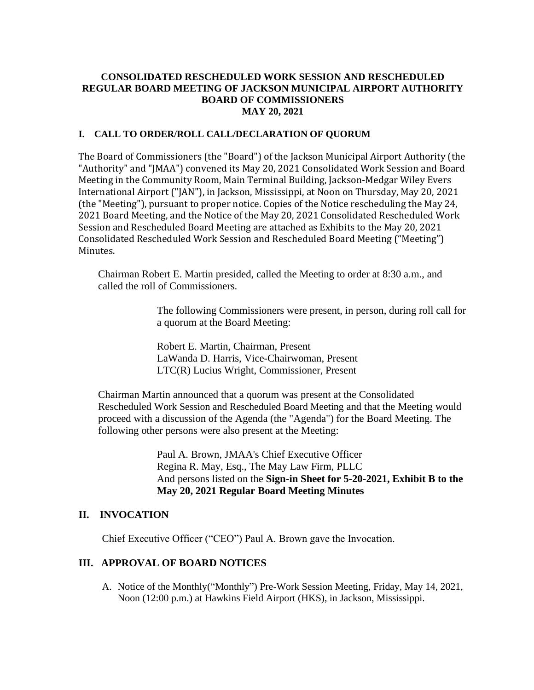### **CONSOLIDATED RESCHEDULED WORK SESSION AND RESCHEDULED REGULAR BOARD MEETING OF JACKSON MUNICIPAL AIRPORT AUTHORITY BOARD OF COMMISSIONERS MAY 20, 2021**

### **I. CALL TO ORDER/ROLL CALL/DECLARATION OF QUORUM**

The Board of Commissioners (the "Board") of the Jackson Municipal Airport Authority (the "Authority" and "JMAA") convened its May 20, 2021 Consolidated Work Session and Board Meeting in the Community Room, Main Terminal Building, Jackson-Medgar Wiley Evers International Airport ("JAN"), in Jackson, Mississippi, at Noon on Thursday, May 20, 2021 (the "Meeting"), pursuant to proper notice. Copies of the Notice rescheduling the May 24, 2021 Board Meeting, and the Notice of the May 20, 2021 Consolidated Rescheduled Work Session and Rescheduled Board Meeting are attached as Exhibits to the May 20, 2021 Consolidated Rescheduled Work Session and Rescheduled Board Meeting ("Meeting") Minutes.

Chairman Robert E. Martin presided, called the Meeting to order at 8:30 a.m., and called the roll of Commissioners.

> The following Commissioners were present, in person, during roll call for a quorum at the Board Meeting:

Robert E. Martin, Chairman, Present LaWanda D. Harris, Vice-Chairwoman, Present LTC(R) Lucius Wright, Commissioner, Present

Chairman Martin announced that a quorum was present at the Consolidated Rescheduled Work Session and Rescheduled Board Meeting and that the Meeting would proceed with a discussion of the Agenda (the "Agenda") for the Board Meeting. The following other persons were also present at the Meeting:

> Paul A. Brown, JMAA's Chief Executive Officer Regina R. May, Esq., The May Law Firm, PLLC And persons listed on the **Sign-in Sheet for 5-20-2021, Exhibit B to the May 20, 2021 Regular Board Meeting Minutes**

## **II. INVOCATION**

Chief Executive Officer ("CEO") Paul A. Brown gave the Invocation.

# **III. APPROVAL OF BOARD NOTICES**

A. Notice of the Monthly("Monthly") Pre-Work Session Meeting, Friday, May 14, 2021, Noon (12:00 p.m.) at Hawkins Field Airport (HKS), in Jackson, Mississippi.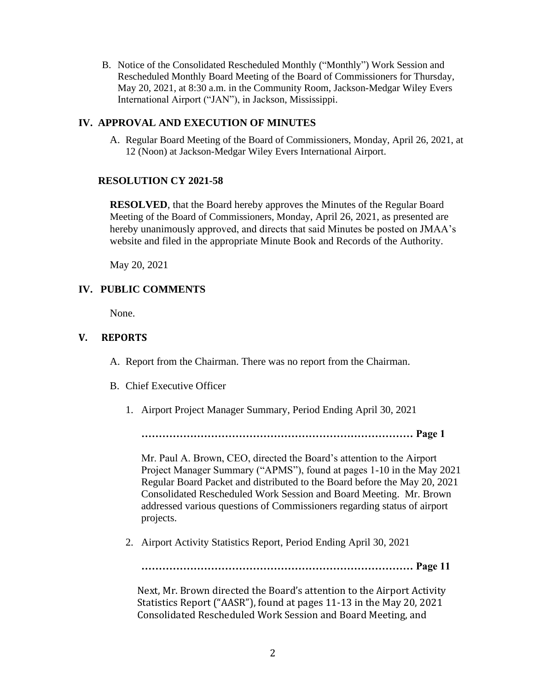B. Notice of the Consolidated Rescheduled Monthly ("Monthly") Work Session and Rescheduled Monthly Board Meeting of the Board of Commissioners for Thursday, May 20, 2021, at 8:30 a.m. in the Community Room, Jackson-Medgar Wiley Evers International Airport ("JAN"), in Jackson, Mississippi.

#### **IV. APPROVAL AND EXECUTION OF MINUTES**

A. Regular Board Meeting of the Board of Commissioners, Monday, April 26, 2021, at 12 (Noon) at Jackson-Medgar Wiley Evers International Airport.

#### **RESOLUTION CY 2021-58**

**RESOLVED**, that the Board hereby approves the Minutes of the Regular Board Meeting of the Board of Commissioners, Monday, April 26, 2021, as presented are hereby unanimously approved, and directs that said Minutes be posted on JMAA's website and filed in the appropriate Minute Book and Records of the Authority.

May 20, 2021

### **IV. PUBLIC COMMENTS**

None.

### **V. REPORTS**

A. Report from the Chairman. There was no report from the Chairman.

- B. Chief Executive Officer
	- 1. Airport Project Manager Summary, Period Ending April 30, 2021

**…………………………………………………………………… Page 1**

Mr. Paul A. Brown, CEO, directed the Board's attention to the Airport Project Manager Summary ("APMS"), found at pages 1-10 in the May 2021 Regular Board Packet and distributed to the Board before the May 20, 2021 Consolidated Rescheduled Work Session and Board Meeting. Mr. Brown addressed various questions of Commissioners regarding status of airport projects.

2. Airport Activity Statistics Report, Period Ending April 30, 2021

**…………………………………………………………………… Page 11**

Next, Mr. Brown directed the Board's attention to the Airport Activity Statistics Report ("AASR"), found at pages 11-13 in the May 20, 2021 Consolidated Rescheduled Work Session and Board Meeting, and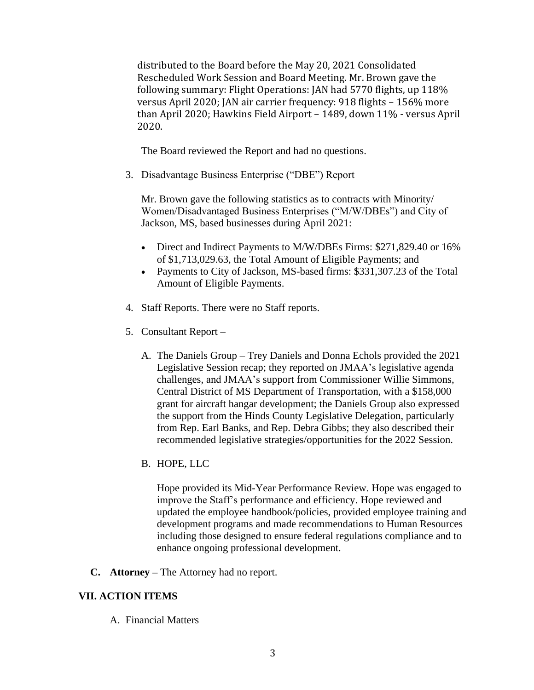distributed to the Board before the May 20, 2021 Consolidated Rescheduled Work Session and Board Meeting. Mr. Brown gave the following summary: Flight Operations: JAN had 5770 flights, up 118% versus April 2020; JAN air carrier frequency: 918 flights – 156% more than April 2020; Hawkins Field Airport – 1489, down 11% - versus April 2020.

The Board reviewed the Report and had no questions.

3. Disadvantage Business Enterprise ("DBE") Report

Mr. Brown gave the following statistics as to contracts with Minority/ Women/Disadvantaged Business Enterprises ("M/W/DBEs") and City of Jackson, MS, based businesses during April 2021:

- Direct and Indirect Payments to M/W/DBEs Firms: \$271,829.40 or 16% of \$1,713,029.63, the Total Amount of Eligible Payments; and
- Payments to City of Jackson, MS-based firms: \$331,307.23 of the Total Amount of Eligible Payments.
- 4. Staff Reports. There were no Staff reports.
- 5. Consultant Report
	- A. The Daniels Group Trey Daniels and Donna Echols provided the 2021 Legislative Session recap; they reported on JMAA's legislative agenda challenges, and JMAA's support from Commissioner Willie Simmons, Central District of MS Department of Transportation, with a \$158,000 grant for aircraft hangar development; the Daniels Group also expressed the support from the Hinds County Legislative Delegation, particularly from Rep. Earl Banks, and Rep. Debra Gibbs; they also described their recommended legislative strategies/opportunities for the 2022 Session.
	- B. HOPE, LLC

Hope provided its Mid-Year Performance Review. Hope was engaged to improve the Staff's performance and efficiency. Hope reviewed and updated the employee handbook/policies, provided employee training and development programs and made recommendations to Human Resources including those designed to ensure federal regulations compliance and to enhance ongoing professional development.

**C. Attorney –** The Attorney had no report.

# **VII. ACTION ITEMS**

A. Financial Matters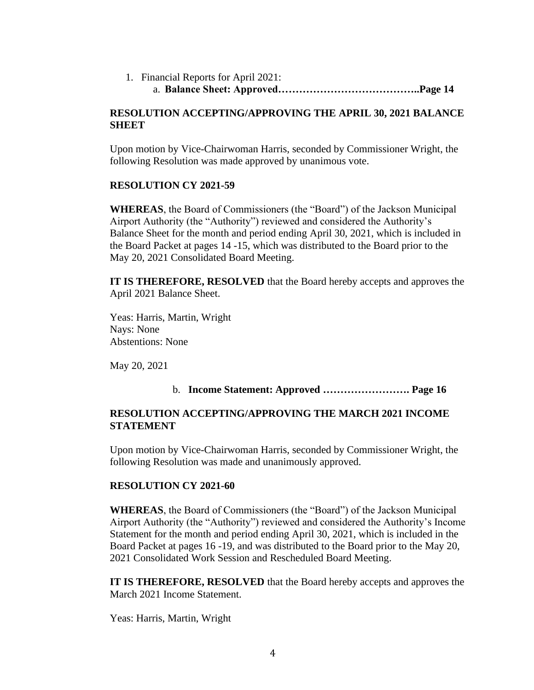1. Financial Reports for April 2021: a. **Balance Sheet: Approved…………………………………..Page 14**

### **RESOLUTION ACCEPTING/APPROVING THE APRIL 30, 2021 BALANCE SHEET**

Upon motion by Vice-Chairwoman Harris, seconded by Commissioner Wright, the following Resolution was made approved by unanimous vote.

## **RESOLUTION CY 2021-59**

**WHEREAS**, the Board of Commissioners (the "Board") of the Jackson Municipal Airport Authority (the "Authority") reviewed and considered the Authority's Balance Sheet for the month and period ending April 30, 2021, which is included in the Board Packet at pages 14 -15, which was distributed to the Board prior to the May 20, 2021 Consolidated Board Meeting.

**IT IS THEREFORE, RESOLVED** that the Board hereby accepts and approves the April 2021 Balance Sheet.

Yeas: Harris, Martin, Wright Nays: None Abstentions: None

May 20, 2021

# b. **Income Statement: Approved ……………………. Page 16**

# **RESOLUTION ACCEPTING/APPROVING THE MARCH 2021 INCOME STATEMENT**

Upon motion by Vice-Chairwoman Harris, seconded by Commissioner Wright, the following Resolution was made and unanimously approved.

### **RESOLUTION CY 2021-60**

**WHEREAS**, the Board of Commissioners (the "Board") of the Jackson Municipal Airport Authority (the "Authority") reviewed and considered the Authority's Income Statement for the month and period ending April 30, 2021, which is included in the Board Packet at pages 16 -19, and was distributed to the Board prior to the May 20, 2021 Consolidated Work Session and Rescheduled Board Meeting.

**IT IS THEREFORE, RESOLVED** that the Board hereby accepts and approves the March 2021 Income Statement.

Yeas: Harris, Martin, Wright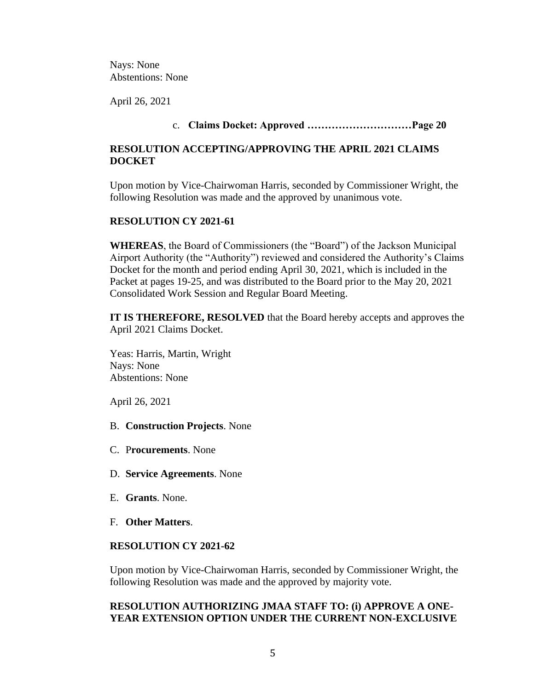Nays: None Abstentions: None

April 26, 2021

# c. **Claims Docket: Approved …………………………Page 20**

### **RESOLUTION ACCEPTING/APPROVING THE APRIL 2021 CLAIMS DOCKET**

Upon motion by Vice-Chairwoman Harris, seconded by Commissioner Wright, the following Resolution was made and the approved by unanimous vote.

### **RESOLUTION CY 2021-61**

**WHEREAS**, the Board of Commissioners (the "Board") of the Jackson Municipal Airport Authority (the "Authority") reviewed and considered the Authority's Claims Docket for the month and period ending April 30, 2021, which is included in the Packet at pages 19-25, and was distributed to the Board prior to the May 20, 2021 Consolidated Work Session and Regular Board Meeting.

**IT IS THEREFORE, RESOLVED** that the Board hereby accepts and approves the April 2021 Claims Docket.

Yeas: Harris, Martin, Wright Nays: None Abstentions: None

April 26, 2021

B. **Construction Projects**. None

- C. P**rocurements**. None
- D. **Service Agreements**. None
- E. **Grants**. None.
- F. **Other Matters**.

## **RESOLUTION CY 2021-62**

Upon motion by Vice-Chairwoman Harris, seconded by Commissioner Wright, the following Resolution was made and the approved by majority vote.

### **RESOLUTION AUTHORIZING JMAA STAFF TO: (i) APPROVE A ONE-YEAR EXTENSION OPTION UNDER THE CURRENT NON-EXCLUSIVE**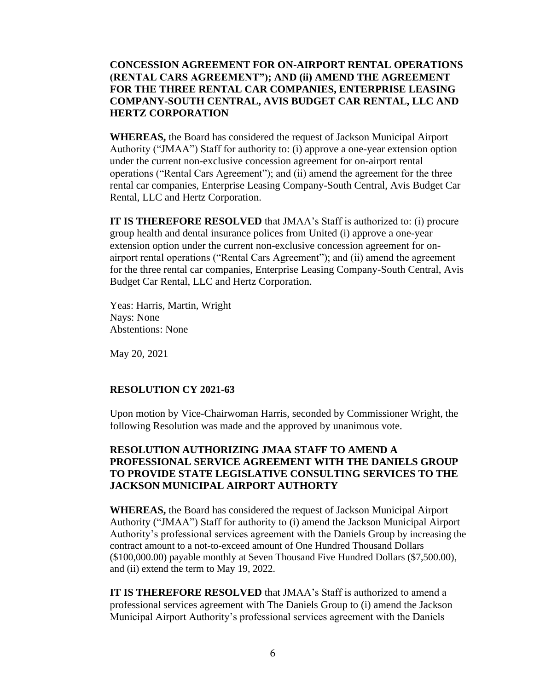## **CONCESSION AGREEMENT FOR ON-AIRPORT RENTAL OPERATIONS (RENTAL CARS AGREEMENT"); AND (ii) AMEND THE AGREEMENT FOR THE THREE RENTAL CAR COMPANIES, ENTERPRISE LEASING COMPANY-SOUTH CENTRAL, AVIS BUDGET CAR RENTAL, LLC AND HERTZ CORPORATION**

**WHEREAS,** the Board has considered the request of Jackson Municipal Airport Authority ("JMAA") Staff for authority to: (i) approve a one-year extension option under the current non-exclusive concession agreement for on-airport rental operations ("Rental Cars Agreement"); and (ii) amend the agreement for the three rental car companies, Enterprise Leasing Company-South Central, Avis Budget Car Rental, LLC and Hertz Corporation.

**IT IS THEREFORE RESOLVED** that JMAA's Staff is authorized to: (i) procure group health and dental insurance polices from United (i) approve a one-year extension option under the current non-exclusive concession agreement for onairport rental operations ("Rental Cars Agreement"); and (ii) amend the agreement for the three rental car companies, Enterprise Leasing Company-South Central, Avis Budget Car Rental, LLC and Hertz Corporation.

Yeas: Harris, Martin, Wright Nays: None Abstentions: None

May 20, 2021

### **RESOLUTION CY 2021-63**

Upon motion by Vice-Chairwoman Harris, seconded by Commissioner Wright, the following Resolution was made and the approved by unanimous vote.

# **RESOLUTION AUTHORIZING JMAA STAFF TO AMEND A PROFESSIONAL SERVICE AGREEMENT WITH THE DANIELS GROUP TO PROVIDE STATE LEGISLATIVE CONSULTING SERVICES TO THE JACKSON MUNICIPAL AIRPORT AUTHORTY**

**WHEREAS,** the Board has considered the request of Jackson Municipal Airport Authority ("JMAA") Staff for authority to (i) amend the Jackson Municipal Airport Authority's professional services agreement with the Daniels Group by increasing the contract amount to a not-to-exceed amount of One Hundred Thousand Dollars (\$100,000.00) payable monthly at Seven Thousand Five Hundred Dollars (\$7,500.00), and (ii) extend the term to May 19, 2022.

**IT IS THEREFORE RESOLVED** that JMAA's Staff is authorized to amend a professional services agreement with The Daniels Group to (i) amend the Jackson Municipal Airport Authority's professional services agreement with the Daniels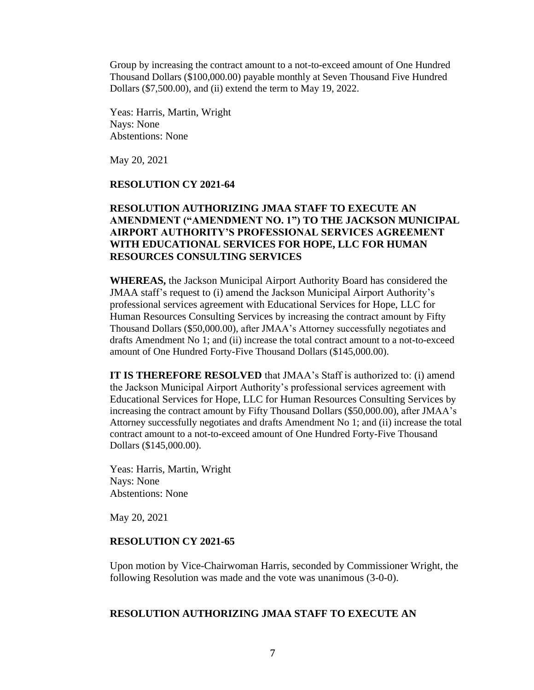Group by increasing the contract amount to a not-to-exceed amount of One Hundred Thousand Dollars (\$100,000.00) payable monthly at Seven Thousand Five Hundred Dollars (\$7,500.00), and (ii) extend the term to May 19, 2022.

Yeas: Harris, Martin, Wright Nays: None Abstentions: None

May 20, 2021

#### **RESOLUTION CY 2021-64**

## **RESOLUTION AUTHORIZING JMAA STAFF TO EXECUTE AN AMENDMENT ("AMENDMENT NO. 1") TO THE JACKSON MUNICIPAL AIRPORT AUTHORITY'S PROFESSIONAL SERVICES AGREEMENT WITH EDUCATIONAL SERVICES FOR HOPE, LLC FOR HUMAN RESOURCES CONSULTING SERVICES**

**WHEREAS,** the Jackson Municipal Airport Authority Board has considered the JMAA staff's request to (i) amend the Jackson Municipal Airport Authority's professional services agreement with Educational Services for Hope, LLC for Human Resources Consulting Services by increasing the contract amount by Fifty Thousand Dollars (\$50,000.00), after JMAA's Attorney successfully negotiates and drafts Amendment No 1; and (ii) increase the total contract amount to a not-to-exceed amount of One Hundred Forty-Five Thousand Dollars (\$145,000.00).

**IT IS THEREFORE RESOLVED** that JMAA's Staff is authorized to: (i) amend the Jackson Municipal Airport Authority's professional services agreement with Educational Services for Hope, LLC for Human Resources Consulting Services by increasing the contract amount by Fifty Thousand Dollars (\$50,000.00), after JMAA's Attorney successfully negotiates and drafts Amendment No 1; and (ii) increase the total contract amount to a not-to-exceed amount of One Hundred Forty-Five Thousand Dollars (\$145,000.00).

Yeas: Harris, Martin, Wright Nays: None Abstentions: None

May 20, 2021

#### **RESOLUTION CY 2021-65**

Upon motion by Vice-Chairwoman Harris, seconded by Commissioner Wright, the following Resolution was made and the vote was unanimous (3-0-0).

#### **RESOLUTION AUTHORIZING JMAA STAFF TO EXECUTE AN**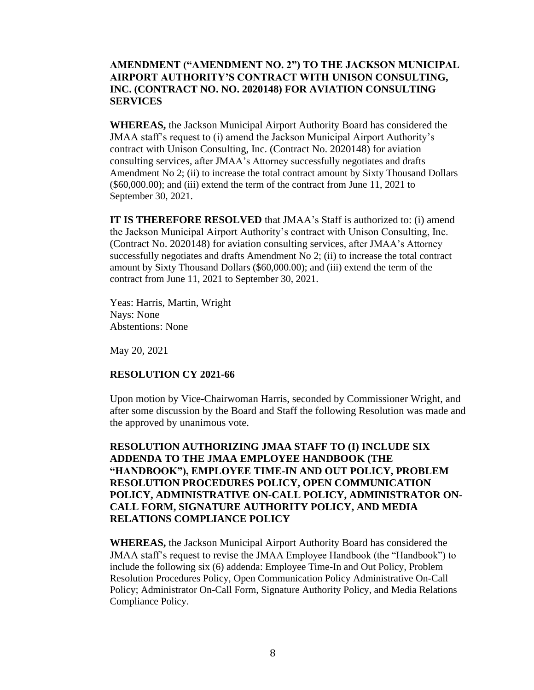## **AMENDMENT ("AMENDMENT NO. 2") TO THE JACKSON MUNICIPAL AIRPORT AUTHORITY'S CONTRACT WITH UNISON CONSULTING, INC. (CONTRACT NO. NO. 2020148) FOR AVIATION CONSULTING SERVICES**

**WHEREAS,** the Jackson Municipal Airport Authority Board has considered the JMAA staff's request to (i) amend the Jackson Municipal Airport Authority's contract with Unison Consulting, Inc. (Contract No. 2020148) for aviation consulting services, after JMAA's Attorney successfully negotiates and drafts Amendment No 2; (ii) to increase the total contract amount by Sixty Thousand Dollars (\$60,000.00); and (iii) extend the term of the contract from June 11, 2021 to September 30, 2021.

**IT IS THEREFORE RESOLVED** that JMAA's Staff is authorized to: (i) amend the Jackson Municipal Airport Authority's contract with Unison Consulting, Inc. (Contract No. 2020148) for aviation consulting services, after JMAA's Attorney successfully negotiates and drafts Amendment No 2; (ii) to increase the total contract amount by Sixty Thousand Dollars (\$60,000.00); and (iii) extend the term of the contract from June 11, 2021 to September 30, 2021.

Yeas: Harris, Martin, Wright Nays: None Abstentions: None

May 20, 2021

### **RESOLUTION CY 2021-66**

Upon motion by Vice-Chairwoman Harris, seconded by Commissioner Wright, and after some discussion by the Board and Staff the following Resolution was made and the approved by unanimous vote.

# **RESOLUTION AUTHORIZING JMAA STAFF TO (I) INCLUDE SIX ADDENDA TO THE JMAA EMPLOYEE HANDBOOK (THE "HANDBOOK"), EMPLOYEE TIME-IN AND OUT POLICY, PROBLEM RESOLUTION PROCEDURES POLICY, OPEN COMMUNICATION POLICY, ADMINISTRATIVE ON-CALL POLICY, ADMINISTRATOR ON-CALL FORM, SIGNATURE AUTHORITY POLICY, AND MEDIA RELATIONS COMPLIANCE POLICY**

**WHEREAS,** the Jackson Municipal Airport Authority Board has considered the JMAA staff's request to revise the JMAA Employee Handbook (the "Handbook") to include the following six (6) addenda: Employee Time-In and Out Policy, Problem Resolution Procedures Policy, Open Communication Policy Administrative On-Call Policy; Administrator On-Call Form, Signature Authority Policy, and Media Relations Compliance Policy.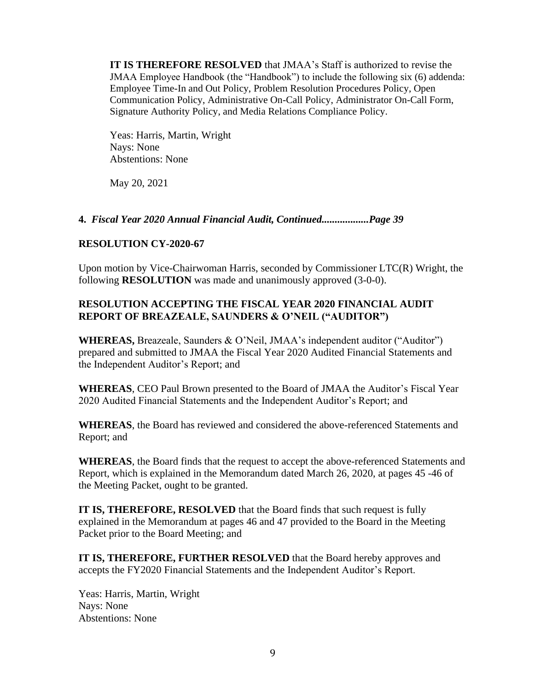**IT IS THEREFORE RESOLVED** that JMAA's Staff is authorized to revise the JMAA Employee Handbook (the "Handbook") to include the following six (6) addenda: Employee Time-In and Out Policy, Problem Resolution Procedures Policy, Open Communication Policy, Administrative On-Call Policy, Administrator On-Call Form, Signature Authority Policy, and Media Relations Compliance Policy.

Yeas: Harris, Martin, Wright Nays: None Abstentions: None

May 20, 2021

## **4.** *Fiscal Year 2020 Annual Financial Audit, Continued..................Page 39*

## **RESOLUTION CY-2020-67**

Upon motion by Vice-Chairwoman Harris, seconded by Commissioner LTC(R) Wright, the following **RESOLUTION** was made and unanimously approved (3-0-0).

# **RESOLUTION ACCEPTING THE FISCAL YEAR 2020 FINANCIAL AUDIT REPORT OF BREAZEALE, SAUNDERS & O'NEIL ("AUDITOR")**

**WHEREAS,** Breazeale, Saunders & O'Neil, JMAA's independent auditor ("Auditor") prepared and submitted to JMAA the Fiscal Year 2020 Audited Financial Statements and the Independent Auditor's Report; and

**WHEREAS**, CEO Paul Brown presented to the Board of JMAA the Auditor's Fiscal Year 2020 Audited Financial Statements and the Independent Auditor's Report; and

**WHEREAS**, the Board has reviewed and considered the above-referenced Statements and Report; and

**WHEREAS**, the Board finds that the request to accept the above-referenced Statements and Report, which is explained in the Memorandum dated March 26, 2020, at pages 45 -46 of the Meeting Packet, ought to be granted.

**IT IS, THEREFORE, RESOLVED** that the Board finds that such request is fully explained in the Memorandum at pages 46 and 47 provided to the Board in the Meeting Packet prior to the Board Meeting; and

**IT IS, THEREFORE, FURTHER RESOLVED** that the Board hereby approves and accepts the FY2020 Financial Statements and the Independent Auditor's Report.

Yeas: Harris, Martin, Wright Nays: None Abstentions: None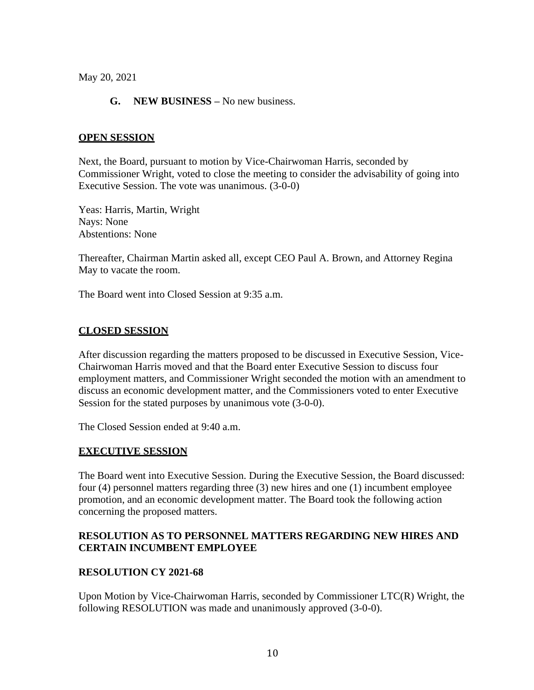May 20, 2021

## **G. NEW BUSINESS –** No new business.

### **OPEN SESSION**

Next, the Board, pursuant to motion by Vice-Chairwoman Harris, seconded by Commissioner Wright, voted to close the meeting to consider the advisability of going into Executive Session. The vote was unanimous. (3-0-0)

Yeas: Harris, Martin, Wright Nays: None Abstentions: None

Thereafter, Chairman Martin asked all, except CEO Paul A. Brown, and Attorney Regina May to vacate the room.

The Board went into Closed Session at 9:35 a.m.

### **CLOSED SESSION**

After discussion regarding the matters proposed to be discussed in Executive Session, Vice-Chairwoman Harris moved and that the Board enter Executive Session to discuss four employment matters, and Commissioner Wright seconded the motion with an amendment to discuss an economic development matter, and the Commissioners voted to enter Executive Session for the stated purposes by unanimous vote (3-0-0).

The Closed Session ended at 9:40 a.m.

### **EXECUTIVE SESSION**

The Board went into Executive Session. During the Executive Session, the Board discussed: four (4) personnel matters regarding three (3) new hires and one (1) incumbent employee promotion, and an economic development matter. The Board took the following action concerning the proposed matters.

## **RESOLUTION AS TO PERSONNEL MATTERS REGARDING NEW HIRES AND CERTAIN INCUMBENT EMPLOYEE**

### **RESOLUTION CY 2021-68**

Upon Motion by Vice-Chairwoman Harris, seconded by Commissioner LTC(R) Wright, the following RESOLUTION was made and unanimously approved (3-0-0).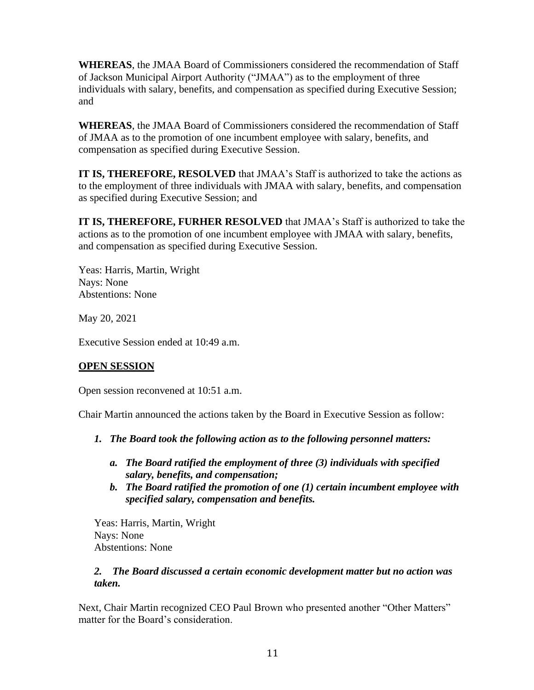**WHEREAS**, the JMAA Board of Commissioners considered the recommendation of Staff of Jackson Municipal Airport Authority ("JMAA") as to the employment of three individuals with salary, benefits, and compensation as specified during Executive Session; and

**WHEREAS**, the JMAA Board of Commissioners considered the recommendation of Staff of JMAA as to the promotion of one incumbent employee with salary, benefits, and compensation as specified during Executive Session.

**IT IS, THEREFORE, RESOLVED** that JMAA's Staff is authorized to take the actions as to the employment of three individuals with JMAA with salary, benefits, and compensation as specified during Executive Session; and

**IT IS, THEREFORE, FURHER RESOLVED** that JMAA's Staff is authorized to take the actions as to the promotion of one incumbent employee with JMAA with salary, benefits, and compensation as specified during Executive Session.

Yeas: Harris, Martin, Wright Nays: None Abstentions: None

May 20, 2021

Executive Session ended at 10:49 a.m.

# **OPEN SESSION**

Open session reconvened at 10:51 a.m.

Chair Martin announced the actions taken by the Board in Executive Session as follow:

- *1. The Board took the following action as to the following personnel matters:*
	- *a. The Board ratified the employment of three (3) individuals with specified salary, benefits, and compensation;*
	- *b. The Board ratified the promotion of one (1) certain incumbent employee with specified salary, compensation and benefits.*

Yeas: Harris, Martin, Wright Nays: None Abstentions: None

# *2. The Board discussed a certain economic development matter but no action was taken.*

Next, Chair Martin recognized CEO Paul Brown who presented another "Other Matters" matter for the Board's consideration.